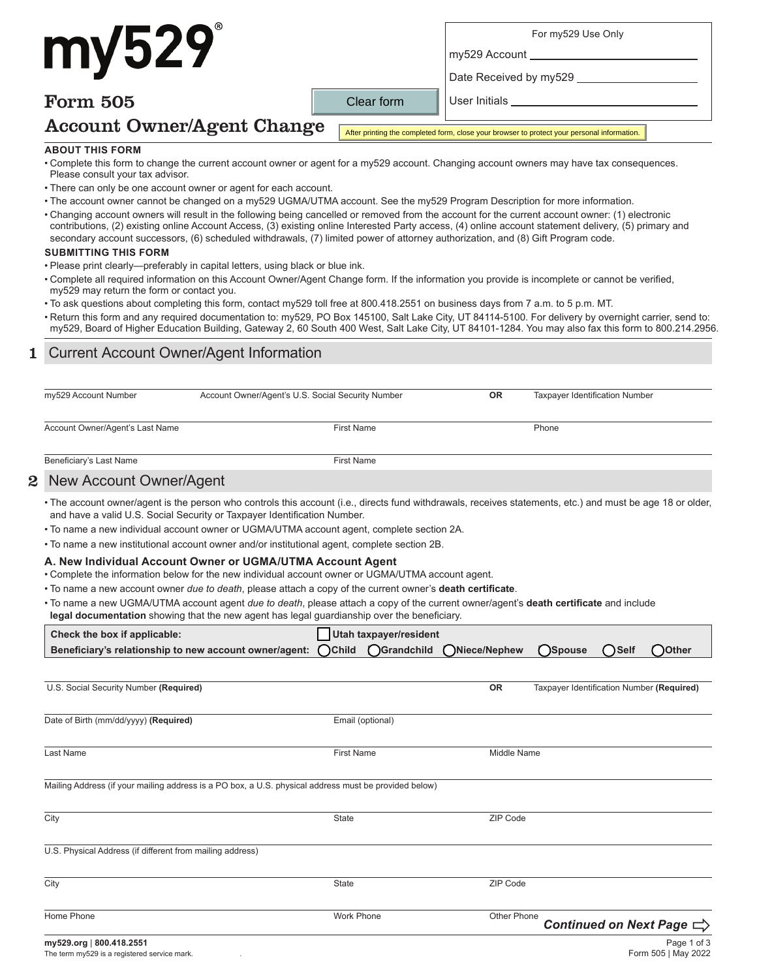# For my529 Use Only

Date Received by my529

my529 Account

# Form 505

my529

Clear form

User Initials

# Account Owner/Agent Change

After printing the completed form, close your browser to protect your personal information.

### **ABOUT THIS FORM**

- Complete this form to change the current account owner or agent for a my529 account. Changing account owners may have tax consequences. Please consult your tax advisor.
- There can only be one account owner or agent for each account.
- The account owner cannot be changed on a my529 UGMA/UTMA account. See the my529 Program Description for more information.
- Changing account owners will result in the following being cancelled or removed from the account for the current account owner: (1) electronic contributions, (2) existing online Account Access, (3) existing online Interested Party access, (4) online account statement delivery, (5) primary and secondary account successors, (6) scheduled withdrawals, (7) limited power of attorney authorization, and (8) Gift Program code.

#### **SUBMITTING THIS FORM**

- Please print clearly—preferably in capital letters, using black or blue ink.
- Complete all required information on this Account Owner/Agent Change form. If the information you provide is incomplete or cannot be verified, my529 may return the form or contact you.
- To ask questions about completing this form, contact my529 toll free at 800.418.2551 on business days from 7 a.m. to 5 p.m. MT.
- Return this form and any required documentation to: my529, PO Box 145100, Salt Lake City, UT 84114-5100. For delivery by overnight carrier, send to: my529, Board of Higher Education Building, Gateway 2, 60 South 400 West, Salt Lake City, UT 84101-1284. You may also fax this form to 800.214.2956.

# 1 Current Account Owner/Agent Information

| my529 Account Number                                                                   | Account Owner/Agent's U.S. Social Security Number                                                                                                                                                                                                                                                                                                       | <b>OR</b>          | <b>Taxpayer Identification Number</b>     |      |       |
|----------------------------------------------------------------------------------------|---------------------------------------------------------------------------------------------------------------------------------------------------------------------------------------------------------------------------------------------------------------------------------------------------------------------------------------------------------|--------------------|-------------------------------------------|------|-------|
| Account Owner/Agent's Last Name                                                        | <b>First Name</b>                                                                                                                                                                                                                                                                                                                                       |                    | Phone                                     |      |       |
|                                                                                        | <b>First Name</b>                                                                                                                                                                                                                                                                                                                                       |                    |                                           |      |       |
| Beneficiary's Last Name<br>New Account Owner/Agent                                     |                                                                                                                                                                                                                                                                                                                                                         |                    |                                           |      |       |
| and have a valid U.S. Social Security or Taxpayer Identification Number.               | . The account owner/agent is the person who controls this account (i.e., directs fund withdrawals, receives statements, etc.) and must be age 18 or older,<br>• To name a new individual account owner or UGMA/UTMA account agent, complete section 2A.<br>• To name a new institutional account owner and/or institutional agent, complete section 2B. |                    |                                           |      |       |
|                                                                                        | A. New Individual Account Owner or UGMA/UTMA Account Agent<br>• Complete the information below for the new individual account owner or UGMA/UTMA account agent.                                                                                                                                                                                         |                    |                                           |      |       |
|                                                                                        | . To name a new account owner due to death, please attach a copy of the current owner's death certificate.<br>. To name a new UGMA/UTMA account agent due to death, please attach a copy of the current owner/agent's death certificate and include<br>legal documentation showing that the new agent has legal guardianship over the beneficiary.      |                    |                                           |      |       |
|                                                                                        |                                                                                                                                                                                                                                                                                                                                                         |                    |                                           |      |       |
| Check the box if applicable:<br>Beneficiary's relationship to new account owner/agent: | Utah taxpayer/resident<br>$\bigcap$ Child<br>Grandchild                                                                                                                                                                                                                                                                                                 | Niece/Nephew       | Spouse )                                  | self | Other |
|                                                                                        |                                                                                                                                                                                                                                                                                                                                                         |                    |                                           |      |       |
| U.S. Social Security Number (Required)                                                 |                                                                                                                                                                                                                                                                                                                                                         | <b>OR</b>          | Taxpayer Identification Number (Required) |      |       |
| Date of Birth (mm/dd/yyyy) (Required)                                                  | Email (optional)                                                                                                                                                                                                                                                                                                                                        |                    |                                           |      |       |
| Last Name                                                                              | <b>First Name</b>                                                                                                                                                                                                                                                                                                                                       | <b>Middle Name</b> |                                           |      |       |
|                                                                                        | Mailing Address (if your mailing address is a PO box, a U.S. physical address must be provided below)                                                                                                                                                                                                                                                   |                    |                                           |      |       |
| City                                                                                   | <b>State</b>                                                                                                                                                                                                                                                                                                                                            | ZIP Code           |                                           |      |       |
| U.S. Physical Address (if different from mailing address)                              |                                                                                                                                                                                                                                                                                                                                                         |                    |                                           |      |       |
| City                                                                                   | <b>State</b>                                                                                                                                                                                                                                                                                                                                            | ZIP Code           |                                           |      |       |

**my529.org** | **800.418.2551** Page 1 of 3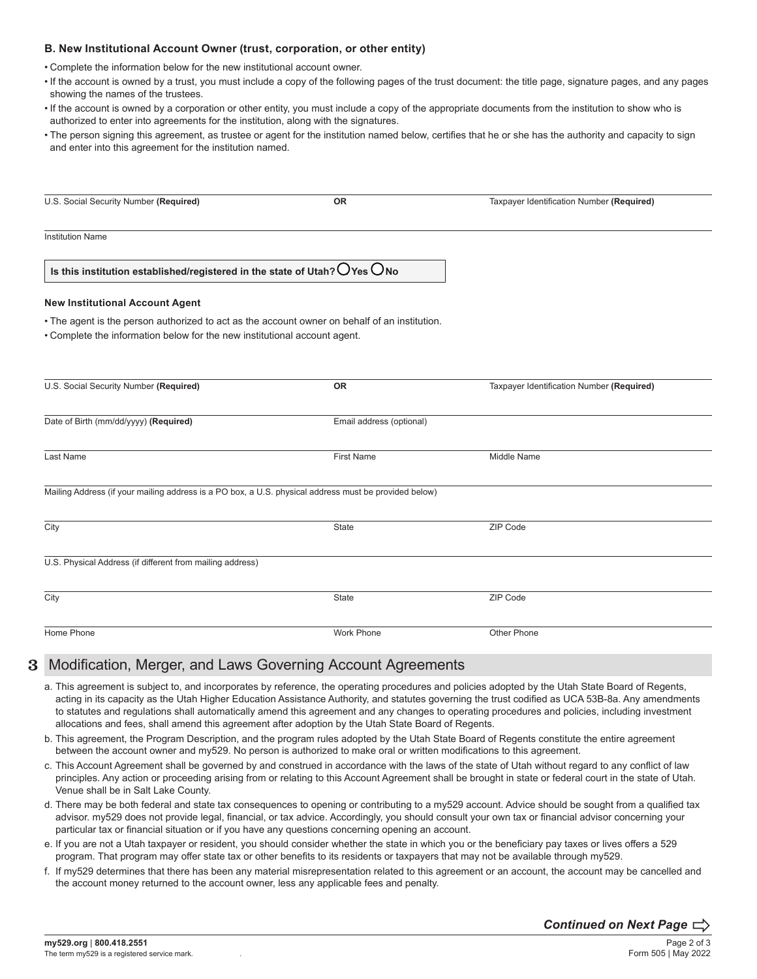#### **B. New Institutional Account Owner (trust, corporation, or other entity)**

• Complete the information below for the new institutional account owner.

- If the account is owned by a trust, you must include a copy of the following pages of the trust document: the title page, signature pages, and any pages showing the names of the trustees.
- If the account is owned by a corporation or other entity, you must include a copy of the appropriate documents from the institution to show who is authorized to enter into agreements for the institution, along with the signatures.
- The person signing this agreement, as trustee or agent for the institution named below, certifies that he or she has the authority and capacity to sign and enter into this agreement for the institution named.

| U.S. Social Security Number (Required)                                                                | <b>OR</b>                | Taxpayer Identification Number (Required) |
|-------------------------------------------------------------------------------------------------------|--------------------------|-------------------------------------------|
| <b>Institution Name</b>                                                                               |                          |                                           |
| Is this institution established/registered in the state of Utah? $Q$ Yes $Q$ No                       |                          |                                           |
| <b>New Institutional Account Agent</b>                                                                |                          |                                           |
| • The agent is the person authorized to act as the account owner on behalf of an institution.         |                          |                                           |
| . Complete the information below for the new institutional account agent.                             |                          |                                           |
|                                                                                                       |                          |                                           |
| U.S. Social Security Number (Required)                                                                | <b>OR</b>                | Taxpayer Identification Number (Required) |
| Date of Birth (mm/dd/yyyy) (Required)                                                                 | Email address (optional) |                                           |
| Last Name                                                                                             | <b>First Name</b>        | Middle Name                               |
| Mailing Address (if your mailing address is a PO box, a U.S. physical address must be provided below) |                          |                                           |
|                                                                                                       |                          |                                           |
| City                                                                                                  | <b>State</b>             | ZIP Code                                  |
| U.S. Physical Address (if different from mailing address)                                             |                          |                                           |
| City                                                                                                  | <b>State</b>             | ZIP Code                                  |
| Home Phone                                                                                            | Work Phone               | Other Phone                               |

# 3 Modification, Merger, and Laws Governing Account Agreements

- a. This agreement is subject to, and incorporates by reference, the operating procedures and policies adopted by the Utah State Board of Regents, acting in its capacity as the Utah Higher Education Assistance Authority, and statutes governing the trust codified as UCA 53B-8a. Any amendments to statutes and regulations shall automatically amend this agreement and any changes to operating procedures and policies, including investment allocations and fees, shall amend this agreement after adoption by the Utah State Board of Regents.
- b. This agreement, the Program Description, and the program rules adopted by the Utah State Board of Regents constitute the entire agreement between the account owner and my529. No person is authorized to make oral or written modifications to this agreement.
- c. This Account Agreement shall be governed by and construed in accordance with the laws of the state of Utah without regard to any conflict of law principles. Any action or proceeding arising from or relating to this Account Agreement shall be brought in state or federal court in the state of Utah. Venue shall be in Salt Lake County.
- d. There may be both federal and state tax consequences to opening or contributing to a my529 account. Advice should be sought from a qualified tax advisor. my529 does not provide legal, financial, or tax advice. Accordingly, you should consult your own tax or financial advisor concerning your particular tax or financial situation or if you have any questions concerning opening an account.
- e. If you are not a Utah taxpayer or resident, you should consider whether the state in which you or the beneficiary pay taxes or lives offers a 529 program. That program may offer state tax or other benefits to its residents or taxpayers that may not be available through my529.
- f. If my529 determines that there has been any material misrepresentation related to this agreement or an account, the account may be cancelled and the account money returned to the account owner, less any applicable fees and penalty.

*Continued on Next Page*